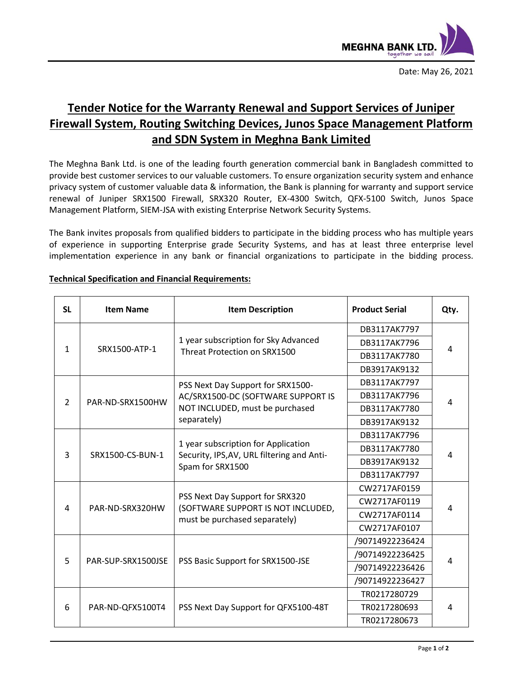

## **Tender Notice for the Warranty Renewal and Support Services of Juniper Firewall System, Routing Switching Devices, Junos Space Management Platform and SDN System in Meghna Bank Limited**

The Meghna Bank Ltd. is one of the leading fourth generation commercial bank in Bangladesh committed to provide best customer services to our valuable customers. To ensure organization security system and enhance privacy system of customer valuable data & information, the Bank is planning for warranty and support service renewal of Juniper SRX1500 Firewall, SRX320 Router, EX-4300 Switch, QFX-5100 Switch, Junos Space Management Platform, SIEM-JSA with existing Enterprise Network Security Systems.

The Bank invites proposals from qualified bidders to participate in the bidding process who has multiple years of experience in supporting Enterprise grade Security Systems, and has at least three enterprise level implementation experience in any bank or financial organizations to participate in the bidding process.

| <b>SL</b>     | <b>Item Name</b>   | <b>Item Description</b>                                                                                                   | <b>Product Serial</b> | Qty. |
|---------------|--------------------|---------------------------------------------------------------------------------------------------------------------------|-----------------------|------|
| $\mathbf{1}$  | SRX1500-ATP-1      | 1 year subscription for Sky Advanced<br>Threat Protection on SRX1500                                                      | DB3117AK7797          | 4    |
|               |                    |                                                                                                                           | DB3117AK7796          |      |
|               |                    |                                                                                                                           | DB3117AK7780          |      |
|               |                    |                                                                                                                           | DB3917AK9132          |      |
| $\mathcal{P}$ | PAR-ND-SRX1500HW   | PSS Next Day Support for SRX1500-<br>AC/SRX1500-DC (SOFTWARE SUPPORT IS<br>NOT INCLUDED, must be purchased<br>separately) | DB3117AK7797          | 4    |
|               |                    |                                                                                                                           | DB3117AK7796          |      |
|               |                    |                                                                                                                           | DB3117AK7780          |      |
|               |                    |                                                                                                                           | DB3917AK9132          |      |
| 3             | SRX1500-CS-BUN-1   | 1 year subscription for Application<br>Security, IPS, AV, URL filtering and Anti-<br>Spam for SRX1500                     | DB3117AK7796          | 4    |
|               |                    |                                                                                                                           | DB3117AK7780          |      |
|               |                    |                                                                                                                           | DB3917AK9132          |      |
|               |                    |                                                                                                                           | DB3117AK7797          |      |
| 4             | PAR-ND-SRX320HW    | PSS Next Day Support for SRX320<br>(SOFTWARE SUPPORT IS NOT INCLUDED,<br>must be purchased separately)                    | CW2717AF0159          | 4    |
|               |                    |                                                                                                                           | CW2717AF0119          |      |
|               |                    |                                                                                                                           | CW2717AF0114          |      |
|               |                    |                                                                                                                           | CW2717AF0107          |      |
| 5             | PAR-SUP-SRX1500JSE | PSS Basic Support for SRX1500-JSE                                                                                         | /90714922236424       | 4    |
|               |                    |                                                                                                                           | /90714922236425       |      |
|               |                    |                                                                                                                           | /90714922236426       |      |
|               |                    |                                                                                                                           | /90714922236427       |      |
| 6             | PAR-ND-QFX5100T4   | PSS Next Day Support for QFX5100-48T                                                                                      | TR0217280729          | 4    |
|               |                    |                                                                                                                           | TR0217280693          |      |
|               |                    |                                                                                                                           | TR0217280673          |      |

## **Technical Specification and Financial Requirements:**

.